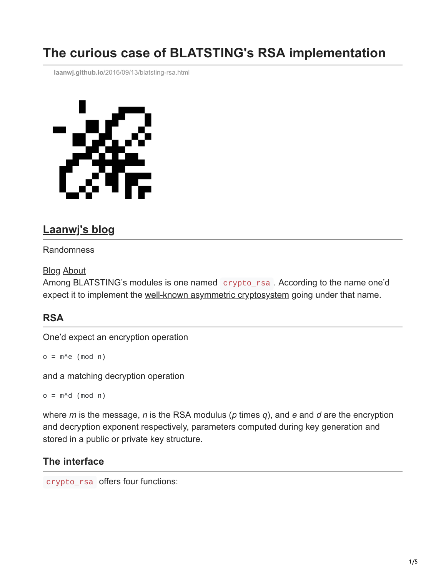# **The curious case of BLATSTING's RSA implementation**

**laanwj.github.io**[/2016/09/13/blatsting-rsa.html](https://laanwj.github.io/2016/09/13/blatsting-rsa.html)



# **[Laanwj's blog](https://laanwj.github.io/)**

#### Randomness

#### [Blog](https://laanwj.github.io/) [About](https://laanwj.github.io/about)

Among BLATSTING's modules is one named crypto\_rsa . According to the name one'd expect it to implement the [well-known asymmetric cryptosystem](https://en.wikipedia.org/wiki/RSA_(cryptosystem)) going under that name.

## **RSA**

One'd expect an encryption operation

 $o = m \cdot e \pmod{n}$ 

and a matching decryption operation

 $o = m \land d \pmod{n}$ 

where *m* is the message, *n* is the RSA modulus (*p* times *q*), and *e* and *d* are the encryption and decryption exponent respectively, parameters computed during key generation and stored in a public or private key structure.

### **The interface**

crypto\_rsa offers four functions: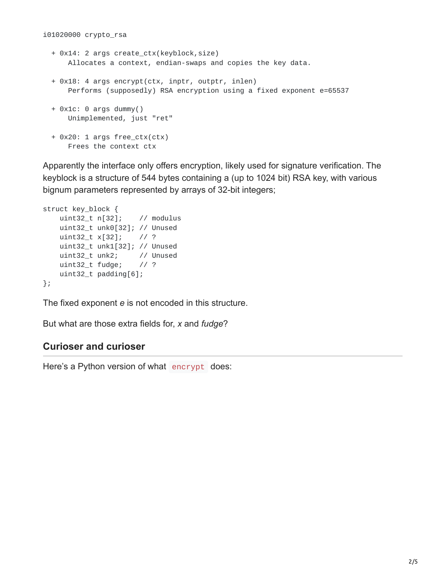- + 0x14: 2 args create\_ctx(keyblock,size) Allocates a context, endian-swaps and copies the key data.
- + 0x18: 4 args encrypt(ctx, inptr, outptr, inlen) Performs (supposedly) RSA encryption using a fixed exponent e=65537
- + 0x1c: 0 args dummy() Unimplemented, just "ret"
- + 0x20: 1 args free\_ctx(ctx) Frees the context ctx

Apparently the interface only offers encryption, likely used for signature verification. The keyblock is a structure of 544 bytes containing a (up to 1024 bit) RSA key, with various bignum parameters represented by arrays of 32-bit integers;

```
struct key_block {
   uint32_t n[32]; // modulus
   uint32_t unk0[32]; // Unused
   uint32_t x[32]; // ?
   uint32_t unk1[32]; // Unused
   uint32_t unk2; // Unused
   uint32_t fudge; // ?
   uint32_t padding[6];
};
```
The fixed exponent *e* is not encoded in this structure.

But what are those extra fields for, *x* and *fudge*?

### **Curioser and curioser**

Here's a Python version of what encrypt does: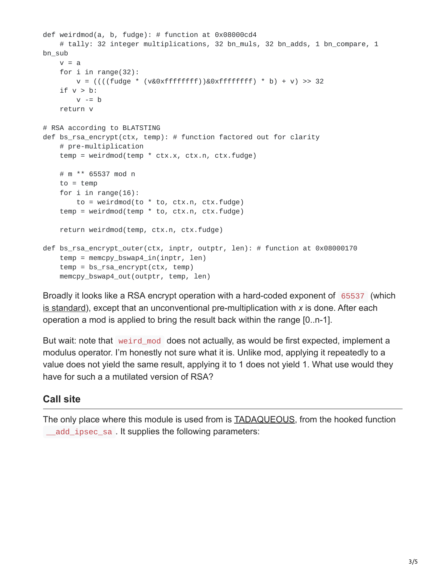```
def weirdmod(a, b, fudge): # function at 0x08000cd4
   # tally: 32 integer multiplications, 32 bn_muls, 32 bn_adds, 1 bn_compare, 1
bn_sub
   v = afor i in range(32):
       v = ((( (fudge * (v&0xffffffff))&0xfffffffff) * b) + v) >> 32if v > b:
       v = breturn v
# RSA according to BLATSTING
def bs_rsa_encrypt(ctx, temp): # function factored out for clarity
   # pre-multiplication
    temp = weirdmod(temp * ctx.x, ctx.n, ctx.fudge)
   # m ** 65537 mod n
   to = temp
   for i in range(16):
       to = weirdmod(to * to, ctx.n, ctx.fudge)
    temp = weirdmod(temp * to, ctx.n, ctx.fudge)
    return weirdmod(temp, ctx.n, ctx.fudge)
def bs_rsa_encrypt_outer(ctx, inptr, outptr, len): # function at 0x08000170
    temp = memory_bswap4_in(input, len)temp = bs_rsa_encrypt(ctx, temp)
    memcpy_bswap4_out(outptr, temp, len)
```
Broadly it looks like a RSA encrypt operation with a hard-coded exponent of 65537 (which [is standard\)](http://www.ietf.org/rfc/rfc4871.txt), except that an unconventional pre-multiplication with *x* is done. After each operation a mod is applied to bring the result back within the range [0..n-1].

But wait: note that weird mod does not actually, as would be first expected, implement a modulus operator. I'm honestly not sure what it is. Unlike mod, applying it repeatedly to a value does not yield the same result, applying it to 1 does not yield 1. What use would they have for such a a mutilated version of RSA?

## **Call site**

The only place where this module is used from is [TADAQUEOUS,](https://laanwj.github.io/2016/09/01/tadaqueos.html) from the hooked function \_\_add\_ipsec\_sa . It supplies the following parameters: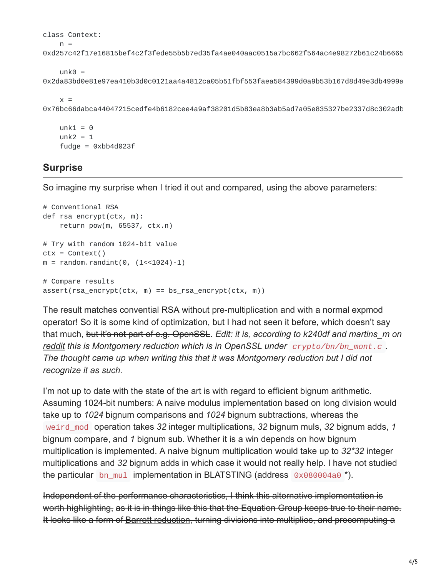```
class Context:
   n =0xd257c42f17e16815bef4c2f3fede55b5b7ed35fa4ae040aac0515a7bc662f564ac4e98272b61c24b6665
```
 $unk0 =$ 0x2da83bd0e81e97ea410b3d0c0121aa4a4812ca05b51fbf553faea584399d0a9b53b167d8d49e3db4999a

```
x =0x76bc66dabca44047215cedfe4b6182cee4a9af38201d5b83ea8b3ab5ad7a05e835327be2337d8c302adb
```

```
unk1 = 0unk2 = 1fudge = 0xbb4d023f
```
# **Surprise**

So imagine my surprise when I tried it out and compared, using the above parameters:

```
# Conventional RSA
def rsa_encrypt(ctx, m):
    return pow(m, 65537, ctx.n)
# Try with random 1024-bit value
ctx = Context()m = random.random(0, (1 < 1024)-1)# Compare results
assert(rsa_encrypt(ctx, m) == bs_rsa_encrypt(ctx, m))
```
The result matches convential RSA without pre-multiplication and with a normal expmod operator! So it is some kind of optimization, but I had not seen it before, which doesn't say that much, but it's not part of e.g. OpenSSL. *Edit: it is, according to k240df and martins\_m on [reddit this is Montgomery reduction which is in OpenSSL under](https://www.reddit.com/r/ReverseEngineering/comments/52kr47/the_curious_case_of_blatstings_rsa_implementation/) crypto/bn/bn\_mont.c . The thought came up when writing this that it was Montgomery reduction but I did not recognize it as such.*

I'm not up to date with the state of the art is with regard to efficient bignum arithmetic. Assuming 1024-bit numbers: A naive modulus implementation based on long division would take up to *1024* bignum comparisons and *1024* bignum subtractions, whereas the weird\_mod operation takes *32* integer multiplications, *32* bignum muls, *32* bignum adds, *1* bignum compare, and *1* bignum sub. Whether it is a win depends on how bignum multiplication is implemented. A naive bignum multiplication would take up to *32\*32* integer multiplications and *32* bignum adds in which case it would not really help. I have not studied the particular bn\_mul implementation in BLATSTING (address 0x080004a0 \*).

Independent of the performance characteristics, I think this alternative implementation is worth highlighting, as it is in things like this that the Equation Group keeps true to their name. It looks like a form of [Barrett reduction](https://en.wikipedia.org/wiki/Barrett_reduction), turning divisions into multiplies, and precomputing a